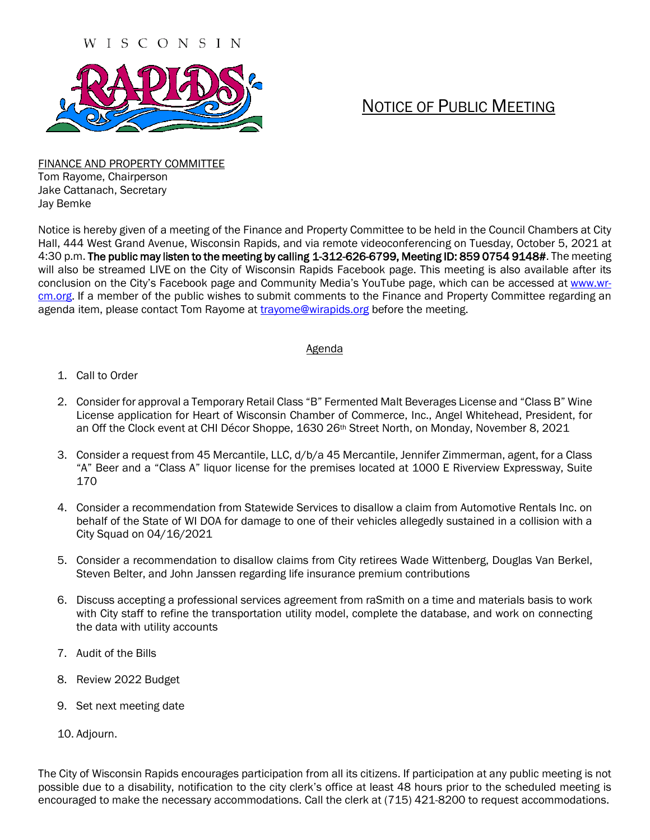#### WISCONSIN



# NOTICE OF PUBLIC MEETING

FINANCE AND PROPERTY COMMITTEE Tom Rayome, Chairperson Jake Cattanach, Secretary Jay Bemke

Notice is hereby given of a meeting of the Finance and Property Committee to be held in the Council Chambers at City Hall, 444 West Grand Avenue, Wisconsin Rapids, and via remote videoconferencing on Tuesday, October 5, 2021 at 4:30 p.m. The public may listen to the meeting by calling 1-312-626-6799, Meeting ID: 859 0754 9148#. The meeting will also be streamed LIVE on the City of Wisconsin Rapids Facebook page. This meeting is also available after its conclusion on the City's Facebook page and Community Media's YouTube page, which can be accessed at [www.wr](http://www.wr-cm.org/)[cm.org.](http://www.wr-cm.org/) If a member of the public wishes to submit comments to the Finance and Property Committee regarding an agenda item, please contact Tom Rayome at [trayome@wirapids.org](mailto:trayome@wirapids.org) before the meeting.

#### **Agenda**

- 1. Call to Order
- 2. Consider for approval a Temporary Retail Class "B" Fermented Malt Beverages License and "Class B" Wine License application for Heart of Wisconsin Chamber of Commerce, Inc., Angel Whitehead, President, for an Off the Clock event at CHI Décor Shoppe, 1630 26<sup>th</sup> Street North, on Monday, November 8, 2021
- 3. Consider a request from 45 Mercantile, LLC, d/b/a 45 Mercantile, Jennifer Zimmerman, agent, for a Class "A" Beer and a "Class A" liquor license for the premises located at 1000 E Riverview Expressway, Suite 170
- 4. Consider a recommendation from Statewide Services to disallow a claim from Automotive Rentals Inc. on behalf of the State of WI DOA for damage to one of their vehicles allegedly sustained in a collision with a City Squad on 04/16/2021
- 5. Consider a recommendation to disallow claims from City retirees Wade Wittenberg, Douglas Van Berkel, Steven Belter, and John Janssen regarding life insurance premium contributions
- 6. Discuss accepting a professional services agreement from raSmith on a time and materials basis to work with City staff to refine the transportation utility model, complete the database, and work on connecting the data with utility accounts
- 7. Audit of the Bills
- 8. Review 2022 Budget
- 9. Set next meeting date
- 10. Adjourn.

The City of Wisconsin Rapids encourages participation from all its citizens. If participation at any public meeting is not possible due to a disability, notification to the city clerk's office at least 48 hours prior to the scheduled meeting is encouraged to make the necessary accommodations. Call the clerk at (715) 421-8200 to request accommodations.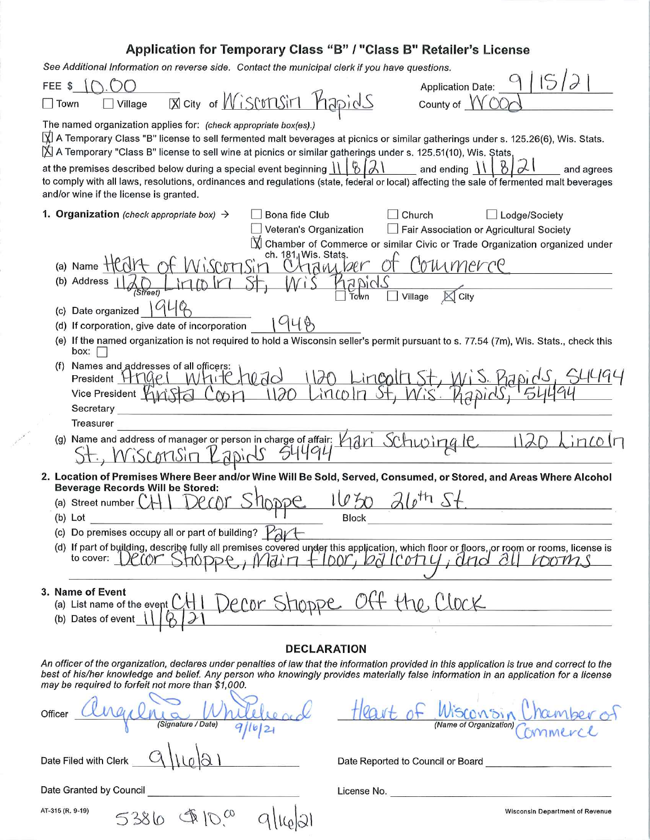# Application for Temporary Class "B" / "Class B" Retailer's License

See Additional Information on reverse side. Contact the municipal clerk if you have questions.

Contract of the Contract of the

| See Additional Information on reverse side.  Contact the municipal clerk if you have questions.                                                                                                                                                                                                                                                                                                                                                                                                                                                                                            |                                                                                                                                                                                                         |
|--------------------------------------------------------------------------------------------------------------------------------------------------------------------------------------------------------------------------------------------------------------------------------------------------------------------------------------------------------------------------------------------------------------------------------------------------------------------------------------------------------------------------------------------------------------------------------------------|---------------------------------------------------------------------------------------------------------------------------------------------------------------------------------------------------------|
| FEE \$                                                                                                                                                                                                                                                                                                                                                                                                                                                                                                                                                                                     | <b>Application Date:</b>                                                                                                                                                                                |
| <b>B</b> city of <i>Misconsin Hapids</i><br>$\Box$ Town<br>Village                                                                                                                                                                                                                                                                                                                                                                                                                                                                                                                         | County of                                                                                                                                                                                               |
| The named organization applies for: (check appropriate box(es).)<br>A Temporary Class "B" license to sell fermented malt beverages at picnics or similar gatherings under s. 125.26(6), Wis. Stats.<br>$\Sigma$ A Temporary "Class B" license to sell wine at picnics or similar gatherings under s. 125.51(10), Wis. Stats,<br>at the premises described below during a special event beginning \\<br>to comply with all laws, resolutions, ordinances and regulations (state, federal or local) affecting the sale of fermented malt beverages<br>and/or wine if the license is granted. | B<br>and ending<br>and agrees                                                                                                                                                                           |
| <b>1. Organization</b> (check appropriate box) $\rightarrow$<br>Bona fide Club                                                                                                                                                                                                                                                                                                                                                                                                                                                                                                             | Church<br>Lodge/Society                                                                                                                                                                                 |
| Veteran's Organization<br>ch. 181, Wis. Stats.<br>(a) Name<br>Address<br>(c) Date organized<br>(d) If corporation, give date of incorporation<br>(e) If the named organization is not required to hold a Wisconsin seller's permit pursuant to s. 77.54 (7m), Wis. Stats., check this<br>box:<br>Names and addresses of all officers:<br>(f)<br>Whitchedd<br>President $HTUPL$<br>120<br>sin 100<br>Vice President Y<br>Secretary<br>Treasurer<br>(g) Name and address of manager or person in charge of affair; han Schwing le<br>Wisconsin'                                              | Fair Association or Agricultural Society<br>Chamber of Commerce or similar Civic or Trade Organization organized under<br>Courmerce<br>18m/2er<br>2 Dids<br>City<br>Village<br>Town<br>1120 Lincollist, |
| 2. Location of Premises Where Beer and/or Wine Will Be Sold, Served, Consumed, or Stored, and Areas Where Alcohol<br><b>Beverage Records Will be Stored:</b>                                                                                                                                                                                                                                                                                                                                                                                                                               |                                                                                                                                                                                                         |
| (a) Street number<br>(b) Lot<br>(c) Do premises occupy all or part of building?<br>(d) If part of building, describe fully all premises covered under this application, which floor or floors, or room or rooms, license is to cover: DCCOL SHODPC, $M\ddot{a}$ in $+$ DOL, $D\ddot{a}$ ICOL 4, $d$ HO $\ddot{a}$ II $D\dd$                                                                                                                                                                                                                                                                | <b>Block</b>                                                                                                                                                                                            |
| 3. Name of Event<br>Name of Event<br>(a) List name of the event CHI Decor Stroppe Off the Clock                                                                                                                                                                                                                                                                                                                                                                                                                                                                                            |                                                                                                                                                                                                         |
| <b>DECLARATION</b>                                                                                                                                                                                                                                                                                                                                                                                                                                                                                                                                                                         |                                                                                                                                                                                                         |
| An officer of the organization, declares under penalties of law that the information provided in this application is true and correct to the<br>best of his/her knowledge and belief. Any person who knowingly provides materially false information in an application for a license<br>may be required to forfeit not more than \$1,000.                                                                                                                                                                                                                                                  |                                                                                                                                                                                                         |
| Officer Angelne Whitelead                                                                                                                                                                                                                                                                                                                                                                                                                                                                                                                                                                  | Heart of Wisconsin Chamber of                                                                                                                                                                           |
| Date Filed with Clerk                                                                                                                                                                                                                                                                                                                                                                                                                                                                                                                                                                      | Date Reported to Council or Board<br>Letter Assembly Date Reported to Council or Board                                                                                                                  |
| Date Granted by Council                                                                                                                                                                                                                                                                                                                                                                                                                                                                                                                                                                    | License No.                                                                                                                                                                                             |
| AT-315 (R. 9-19)<br>5386 \$10.00                                                                                                                                                                                                                                                                                                                                                                                                                                                                                                                                                           | <b>Wisconsin Department of Revenue</b>                                                                                                                                                                  |

**Wisconsin Department of Revenue**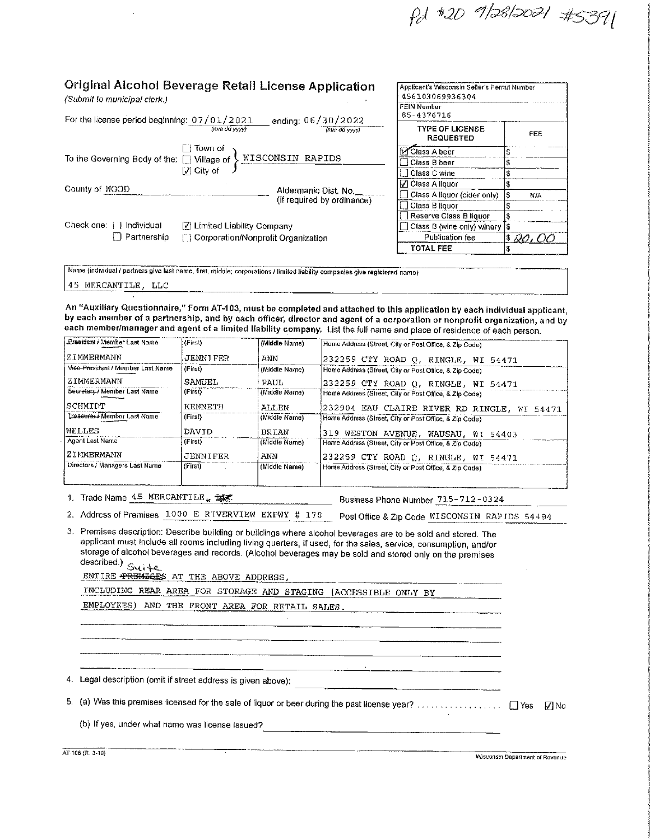Pd #2D 9/28/2021 #5391

FEE

NIA

 $30.00$ 

| Original Alcohol Beverage Retail License Application<br>(Submit to municipal clerk.) |                                    |                                                    | Applicant's Wisconsin Seller's Permil Number<br>456103069936304 |          |
|--------------------------------------------------------------------------------------|------------------------------------|----------------------------------------------------|-----------------------------------------------------------------|----------|
|                                                                                      |                                    | ending: 06/30/2022                                 | <b>FEIN Number</b><br>85-4376716                                |          |
| For the license period beginning: $07/01/2021$<br>(mm dd vyvy)<br>(mm da yyvy)       |                                    | <b>TYPE OF LICENSE</b><br><b>REQUESTED</b>         | FI                                                              |          |
|                                                                                      | Town of                            |                                                    | Class A beer                                                    |          |
| To the Governing Body of the: []<br>Village of<br>l√ City of                         |                                    | WISCONSIN RAPIDS                                   | Class B beer                                                    | S        |
|                                                                                      |                                    |                                                    | Class C wine                                                    |          |
| County of WOOD                                                                       |                                    |                                                    | √ Class A liquor                                                |          |
|                                                                                      |                                    | Aldermanic Dist. No.<br>(if required by ordinance) | Class A liquor (cider only)                                     | l S<br>N |
|                                                                                      |                                    |                                                    | ∃ Class B liquor                                                |          |
|                                                                                      |                                    |                                                    | Reserve Class B liquor                                          |          |
| Check one: [1] Individual                                                            | V Limited Liability Company        |                                                    | Class B (wine only) winery                                      | 13       |
| Partnership<br>H                                                                     | Corporation/Nonprofit Organization |                                                    | Publication fee                                                 | $3\,20$  |
|                                                                                      |                                    |                                                    | TOTAL FEE                                                       | \$       |

#### Avininal Alechal Rouseaus  $$

45 MERCANTILE, LLC

An "Auxiliary Questionnaire," Form AT-103, must be completed and attached to this application by each individual applicant, by each member of a partnership, and by each officer, director and agent of a corporation or nonprofit organization, and by each member/manager and agent of a limited liability company. List the full name and place of residence of each person.

| President / Member Last Name      | (First)         | (Middle Name) | Home Address (Street, City or Post Office, & Zip Code) |
|-----------------------------------|-----------------|---------------|--------------------------------------------------------|
| ZIMMERMANN                        | <b>JENNIFER</b> | ANN           | 232259 CTY ROAD Q, RINGLE, WI 54471                    |
| Vice-President / Member Last Name | (Fust)          | (Middle Name) | Home Address (Street, City or Post Office, & Zip Code) |
| ZIMMERMANN                        | SAMUEL.         | PAUL          | 232259 CTY ROAD Q, RINGLE, WI 54471                    |
| Secretary./ Member Last Name      | (Fits)          | (Middle Name) | Home Address (Street, City or Post Office, & Zlp Code) |
| SCHMIDT                           | KENNETH         | ALLEN.        | 232904 EAU CLAIRE RIVER RD RINGLE, WI<br>54471         |
| Treasurer / Member Last Name      | (First)         | (Middle Name) | Home Address (Street, City or Post Office, & Zip Code) |
| <b>NELLES</b>                     | <b>DAVID</b>    | <b>BRTAN</b>  | 319 WESTON AVENUE, WAUSAU, WI 54403                    |
| Agent Last Name                   | (First)         | (Middle Name) | Home Address (Street, City or Post Office, & Zip Code) |
| ZIMMERMANN                        | JENNIFER        | ANN           | 232259 CTY ROAD Q, RINGLE, WI 54471                    |
| Directors / Managers Last Name    | $(f$ irst)      | (Middle Name) | Home Address (Street, City or Post Office, & Zip Code) |
|                                   |                 |               |                                                        |

1. Trade Name 45 MERCANTILE.

Business Phone Number 715-712-0324

2. Address of Premises 1000 E RIVERVIEW EXPWY # 170 Post Office & Zip Code MISCONSIN RAPIDS 54494

3. Premises description: Describe building or buildings where alcohol beverages are to be sold and stored. The applicant must include all rooms including living quarters, if used, for the sales, service, consumption, and/or storage of alcohol beverages and records. (Alcohol beverages may be sold and stored only on the premises described.)  $\leq$ ui te

| ENTIRE PREMISES AT THE ABOVE ADDRESS. |  |  |
|---------------------------------------|--|--|

INCLUDING REAR AREA FOR STORAGE AND STAGING (ACCESSIBLE ONLY BY

| EMPLOYEES) AND THE FRONT AREA FOR RETAIL SALES |  |  |  |  |
|------------------------------------------------|--|--|--|--|
|                                                |  |  |  |  |

4. Legal description (omit if street address is given above);

(b) If yes, under what name was license issued?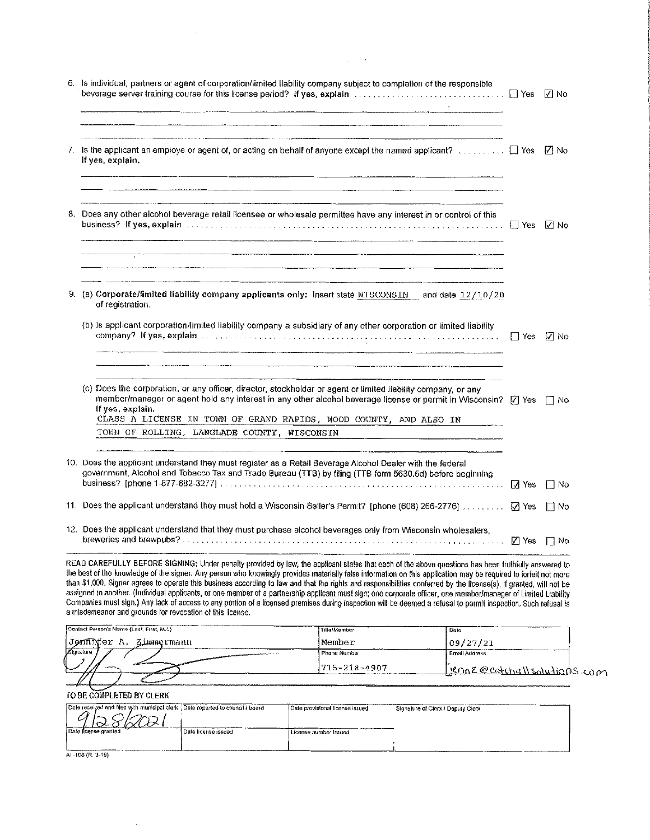| 7. Is the applicant an employe or agent of, or acting on behalf of anyone except the named applicant? $\Box$ Yes $\Box$ No<br>If yes, explain.                                                                                                                                                                                                                                                                     |             |           |
|--------------------------------------------------------------------------------------------------------------------------------------------------------------------------------------------------------------------------------------------------------------------------------------------------------------------------------------------------------------------------------------------------------------------|-------------|-----------|
| <u> 1989 - Johann John Stein, markin amerikan ba</u><br>$\frac{1}{2}$ . The contract of the contract of the contract of the contract of the contract of the contract of the contract of the contract of the contract of the contract of the contract of the contract of the contract of t<br><u> 1980 - Johann Stein, skriuwer yn it stiet fan de Amerikaanske kommunente fan de Amerikaanske kommunente fan d</u> |             |           |
| 8. Does any other alcohol beverage retail licensee or wholesale permittee have any interest in or control of this                                                                                                                                                                                                                                                                                                  |             | IZ⊟No     |
|                                                                                                                                                                                                                                                                                                                                                                                                                    |             |           |
| 9. (a) Corporate/limited liability company applicants only: insert state MTSCONSIN and date 12/10/20<br>of registration.                                                                                                                                                                                                                                                                                           |             |           |
| (b) Is applicant corporation/limited liability company a subsidiary of any other corporation or limited liability                                                                                                                                                                                                                                                                                                  | □ Yes 【刀 No |           |
| (c) Does the corporation, or any officer, director, stockholder or agent or limited liability company, or any<br>member/manager or agent hold any interest in any other alcohol beverage ficense or permit in Wisconsin? [7] Yes [7] No<br>If yes, explain.<br>CLASS A LICENSE IN TOWN OF GRAND RAPIDS, WOOD COUNTY, AND ALSO IN                                                                                   |             |           |
| TOWN OF ROLLING, LANGLADE COUNTY, WISCONSIN<br><u> Andreas Andreas and American and American and American and American and American and American and American and American and American and American and American and American and American and American and American and Ameri</u>                                                                                                                                |             |           |
| 10. Does the applicant understand they must register as a Retail Beverage Alcohol Dealer with the federal<br>government, Alcohol and Tobacco Tax and Trade Bureau (TTB) by filing (TTB form 5630.5d) before beginning                                                                                                                                                                                              |             | $\Box$ No |
| 11. Does the applicant understand they must hold a Wisconsin Seller's Permit? [phone (608) 266-2776]  [7] Yes [7] No                                                                                                                                                                                                                                                                                               |             |           |
| 12. Does the applicant understand that they must purchase alcohol beverages only from Wisconsin wholesalers,                                                                                                                                                                                                                                                                                                       |             |           |

 $\Delta \sim 10^{-11}$ 

the best of the knowledge of the signer. Any person who knowingly provides materially false information on this application may be required to forfeit not more than \$1,000. Signer agrees to operate this business according

| Contact Person's Name (Last, First, M.I.) | Tille/Member   | : Dais                              |
|-------------------------------------------|----------------|-------------------------------------|
| Jonni∀er Λ.<br>Zimmermann                 | Member         | 09/27/21                            |
| Signatura                                 | i Phone Number | i Email Address                     |
|                                           | 1715-218-4907  | <u>Hennz @catchallsolutions</u> com |
|                                           |                |                                     |

TO BE COMPLETED BY CLERK

 $\bar{.}$ 

| Date received and filed with municipal clerk : Date reported to council / board<br>فسنط | Date provisional license issued | Signature of Clark J Daputy Clerk |  |
|-----------------------------------------------------------------------------------------|---------------------------------|-----------------------------------|--|
| i Date finense granied<br>Date license issued                                           | i License number Issued         |                                   |  |
|                                                                                         |                                 |                                   |  |
|                                                                                         |                                 |                                   |  |

AT-106 (R. 3-19)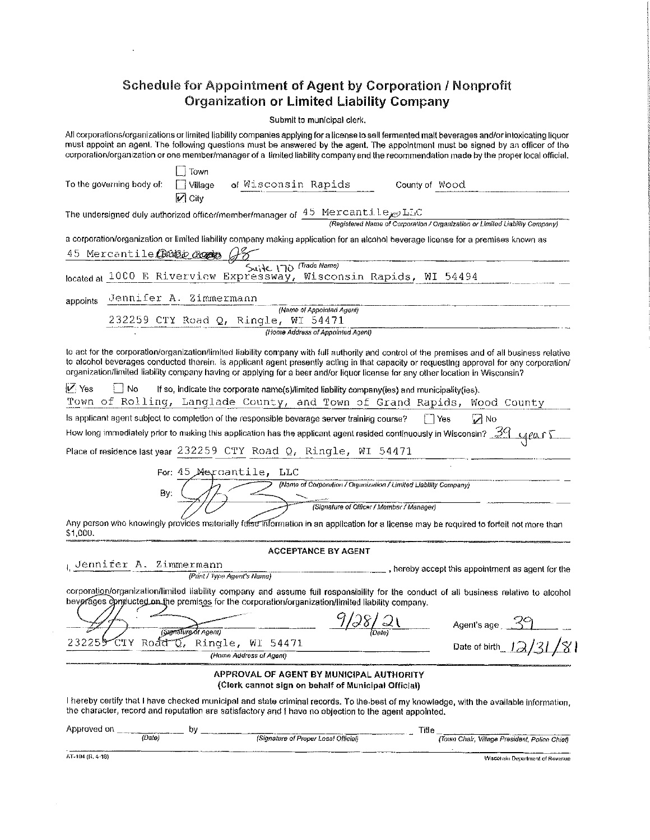## Schedule for Appointment of Agent by Corporation / Nonprofit **Organization or Limited Liability Company**

Submit to municipal clerk.

All corporations/organizations or limited liability companies applying for a license to sell fermented malt beverages and/or intoxicating liquor must appoint an agent. The following questions must be answered by the agent. The appointment must be signed by an officer of the corporation/organization or one member/manager of a limited liability company and the recommendation made by the proper local official.

| To the governing body of:                                                                             | Town<br>│ │ Village<br>$\sqrt{2}$ City | of Wisconsin Rapids                                                                             |                                           | County of Wood                                                                                                                                                                                                                                                                                                                                                                                                                |  |
|-------------------------------------------------------------------------------------------------------|----------------------------------------|-------------------------------------------------------------------------------------------------|-------------------------------------------|-------------------------------------------------------------------------------------------------------------------------------------------------------------------------------------------------------------------------------------------------------------------------------------------------------------------------------------------------------------------------------------------------------------------------------|--|
|                                                                                                       |                                        |                                                                                                 |                                           | The undersigned duly authorized officer/member/manager of $\frac{45}{45}$ Mexcanti.le <sub>xel</sub> LEC<br>(Registered Name of Corporation / Organization or Limited Liability Company)                                                                                                                                                                                                                                      |  |
| 45 Mercantile CROBE Roots (18                                                                         |                                        |                                                                                                 |                                           | a corporation/organization or limited liability company making application for an alcohol beverage license for a premises known as                                                                                                                                                                                                                                                                                            |  |
| located at 1000 E Riverview Expressway, Wisconsin Rapids, WI 54494                                    |                                        | Suite 170 (Trade Name)                                                                          |                                           |                                                                                                                                                                                                                                                                                                                                                                                                                               |  |
|                                                                                                       |                                        |                                                                                                 |                                           |                                                                                                                                                                                                                                                                                                                                                                                                                               |  |
| appoints                                                                                              | Jennifer A. Zimmermann                 | (Name of Appointed Agent)                                                                       |                                           |                                                                                                                                                                                                                                                                                                                                                                                                                               |  |
|                                                                                                       |                                        | 232259 CTY Road Q, Ringle, WI 54471                                                             |                                           |                                                                                                                                                                                                                                                                                                                                                                                                                               |  |
|                                                                                                       |                                        | (Home Address of Appointed Agent)                                                               |                                           |                                                                                                                                                                                                                                                                                                                                                                                                                               |  |
|                                                                                                       |                                        |                                                                                                 |                                           | to act for the corporation/organization/limited liability company with full authority and control of the premises and of all business relative<br>to alcohol beverages conducted therein. Is applicant agent presently acting in that capacity or requesting approval for any corporation/<br>organization/limited liability company having or applying for a beer and/or liquor license for any other location in Wisconsin? |  |
| M Yes<br>i I No                                                                                       |                                        | If so, indicate the corporate name(s)/limited liability company(ies) and municipality(ies).     |                                           | Town of Rolling, Langlade County, and Town of Grand Rapids, Wood County                                                                                                                                                                                                                                                                                                                                                       |  |
| Is applicant agent subject to completion of the responsible beverage server training course?          |                                        |                                                                                                 |                                           | $\sqrt{ }$ No<br>$ $ Yes                                                                                                                                                                                                                                                                                                                                                                                                      |  |
|                                                                                                       |                                        |                                                                                                 |                                           |                                                                                                                                                                                                                                                                                                                                                                                                                               |  |
| Place of residence last year $232259$ CTY Road Q, Ringle, WI 54471                                    |                                        |                                                                                                 |                                           |                                                                                                                                                                                                                                                                                                                                                                                                                               |  |
| By:<br>\$1,000.                                                                                       | For 45 Mercantile, LLC                 |                                                                                                 | (Signature of Officer / Momber / Manager) | (Name of Corporation / Organization / Limited Liability Company)<br>Any person who knowingly provides materially false information in an application for a license may be required to forfeit not more than                                                                                                                                                                                                                   |  |
|                                                                                                       |                                        | <b>ACCEPTANCE BY AGENT</b>                                                                      |                                           |                                                                                                                                                                                                                                                                                                                                                                                                                               |  |
| Uennifer A. Zimmermann                                                                                | (Print / Type Agent's Name)            |                                                                                                 |                                           | , hereby accept this appointment as agent for the                                                                                                                                                                                                                                                                                                                                                                             |  |
| beverages conclucted on the premises for the corporation/organization/limited liability company.      |                                        |                                                                                                 |                                           | corporation/organization/limited liability company and assume full responsibility for the conduct of all business relative to alcohol                                                                                                                                                                                                                                                                                         |  |
|                                                                                                       | (Signature of Agent)                   |                                                                                                 |                                           | Agent's age 39                                                                                                                                                                                                                                                                                                                                                                                                                |  |
| 232255 CTY Road Q, Ringle, WI 54471                                                                   |                                        | (Home Address of Agent)                                                                         |                                           | Date of birth                                                                                                                                                                                                                                                                                                                                                                                                                 |  |
|                                                                                                       |                                        | APPROVAL OF AGENT BY MUNICIPAL AUTHORITY<br>(Clerk cannot sign on behalf of Municipal Official) |                                           |                                                                                                                                                                                                                                                                                                                                                                                                                               |  |
| the character, record and reputation are satisfactory and I have no objection to the agent appointed. |                                        |                                                                                                 |                                           | I hereby certify that I have checked municipal and state criminal records. To the best of my knowledge, with the available information,                                                                                                                                                                                                                                                                                       |  |
| Approved on $\frac{1}{\sqrt{Data}}$                                                                   |                                        |                                                                                                 |                                           | Title                                                                                                                                                                                                                                                                                                                                                                                                                         |  |
|                                                                                                       |                                        | (Signature of Proper Local Official)                                                            |                                           | (Town Chair, Village President, Police Chief)                                                                                                                                                                                                                                                                                                                                                                                 |  |

Wisconsin Department of Revenue

AT-104 (R. 4-18)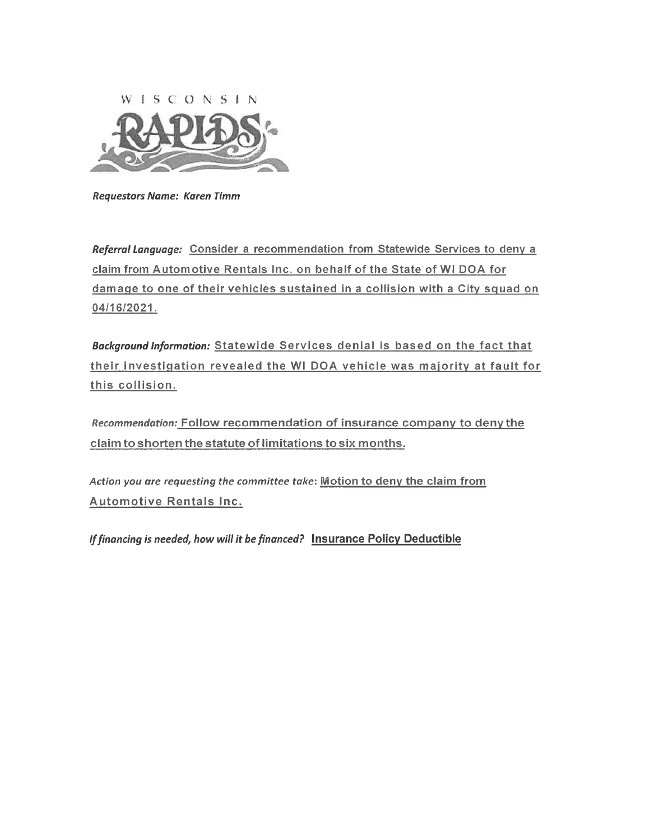

**Requestors Name: Karen Timm** 

Referral Language: Consider a recommendation from Statewide Services to deny a claim from Automotive Rentals Inc. on behalf of the State of WI DOA for damage to one of their vehicles sustained in a collision with a City squad on 04/16/2021.

Background Information: Statewide Services denial is based on the fact that their investigation revealed the WI DOA vehicle was majority at fault for this collision.

Recommendation: Follow recommendation of insurance company to deny the claim to shorten the statute of limitations to six months.

Action you are requesting the committee take: Motion to deny the claim from Automotive Rentals Inc.

If financing is needed, how will it be financed? Insurance Policy Deductible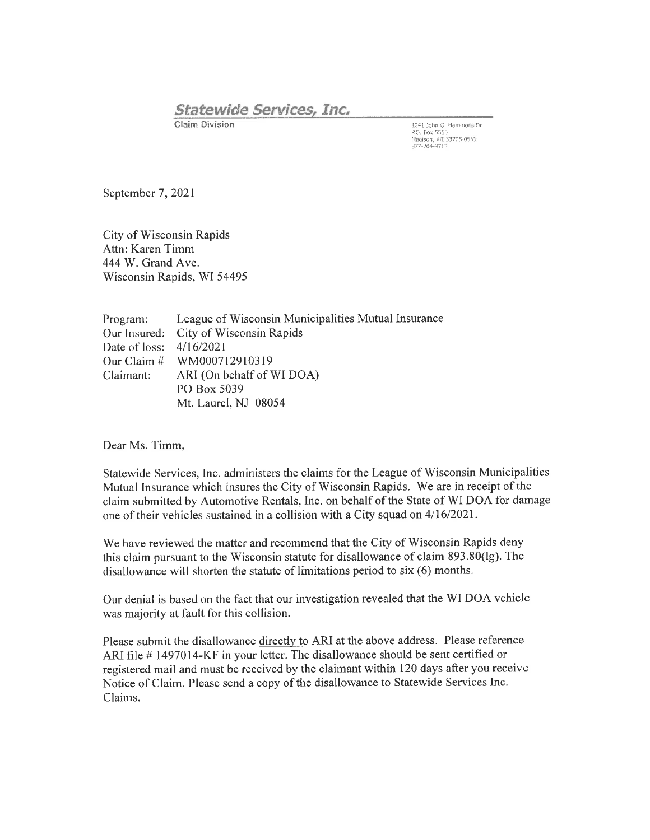## **Statewide Services, Inc.**

**Claim Division** 

1241 John Q. Hammons Dr.<br>P.O. Box 5555<br>Madison, WI 53705-0555<br>877-204-9712

September 7, 2021

City of Wisconsin Rapids Attn: Karen Timm 444 W. Grand Ave. Wisconsin Rapids, WI 54495

League of Wisconsin Municipalities Mutual Insurance Program: Our Insured: City of Wisconsin Rapids Date of loss:  $4/16/2021$ Our Claim  $#$ WM000712910319 Claimant: ARI (On behalf of WI DOA) PO Box 5039 Mt. Laurel, NJ 08054

Dear Ms. Timm,

Statewide Services, Inc. administers the claims for the League of Wisconsin Municipalities Mutual Insurance which insures the City of Wisconsin Rapids. We are in receipt of the claim submitted by Automotive Rentals, Inc. on behalf of the State of WI DOA for damage one of their vehicles sustained in a collision with a City squad on 4/16/2021.

We have reviewed the matter and recommend that the City of Wisconsin Rapids deny this claim pursuant to the Wisconsin statute for disallowance of claim 893.80(lg). The disallowance will shorten the statute of limitations period to six (6) months.

Our denial is based on the fact that our investigation revealed that the WI DOA vehicle was majority at fault for this collision.

Please submit the disallowance directly to ARI at the above address. Please reference ARI file #1497014-KF in your letter. The disallowance should be sent certified or registered mail and must be received by the claimant within 120 days after you receive Notice of Claim. Please send a copy of the disallowance to Statewide Services Inc. Claims.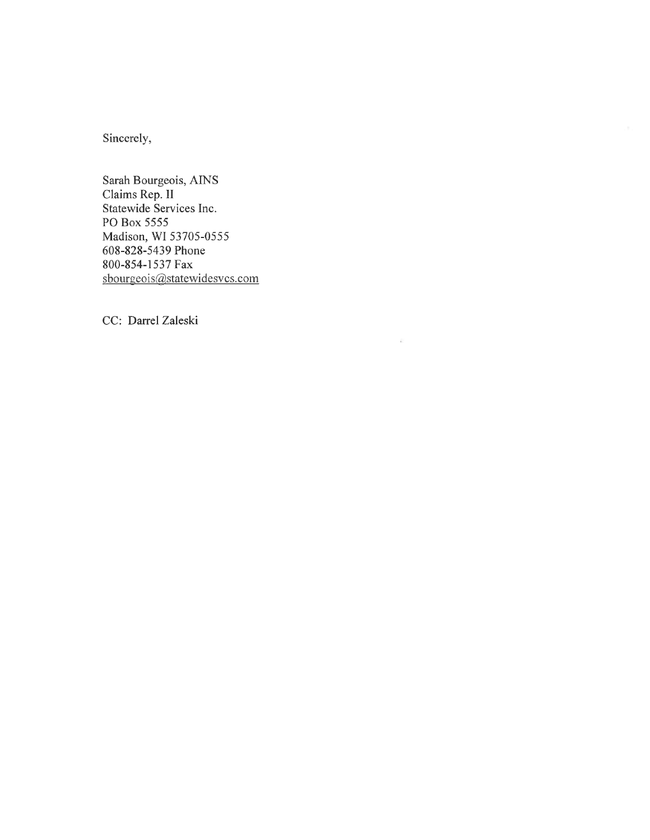Sincerely,

Sarah Bourgeois, AINS Claims Rep. II Statewide Services Inc. PO Box 5555 Madison, WI 53705-0555 608-828-5439 Phone 800-854-1537 Fax sbourgeois@statewidesvcs.com

CC: Darrel Zaleski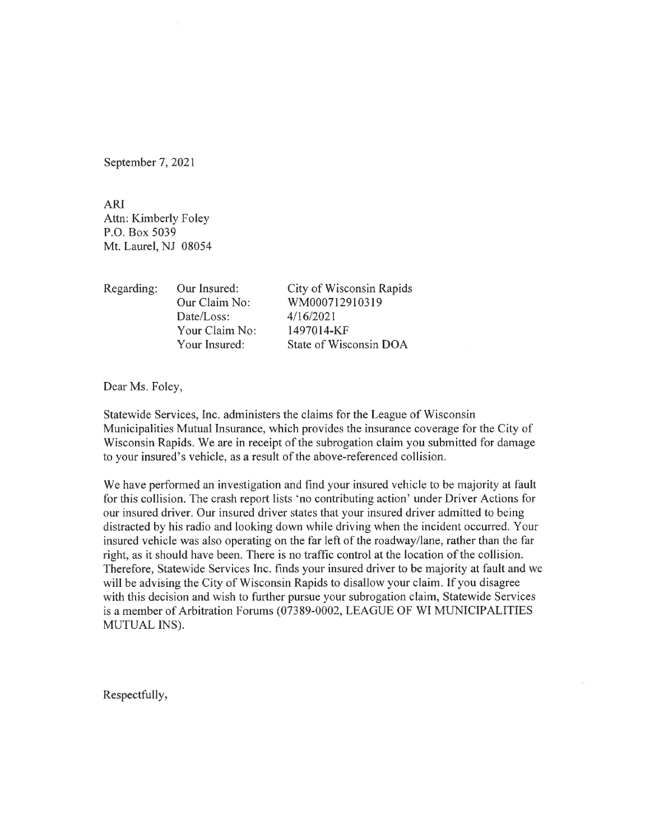September 7, 2021

**ARI** Attn: Kimberly Foley P.O. Box 5039 Mt. Laurel, NJ 08054

Regarding: Our Insured: City of Wisconsin Rapids Our Claim No: WM000712910319 Date/Loss:  $4/16/2021$ Your Claim No: 1497014-KF Your Insured: State of Wisconsin DOA

Dear Ms. Foley,

Statewide Services, Inc. administers the claims for the League of Wisconsin Municipalities Mutual Insurance, which provides the insurance coverage for the City of Wisconsin Rapids. We are in receipt of the subrogation claim you submitted for damage to your insured's vehicle, as a result of the above-referenced collision.

We have performed an investigation and find your insured vehicle to be majority at fault for this collision. The crash report lists 'no contributing action' under Driver Actions for our insured driver. Our insured driver states that your insured driver admitted to being distracted by his radio and looking down while driving when the incident occurred. Your insured vehicle was also operating on the far left of the roadway/lane, rather than the far right, as it should have been. There is no traffic control at the location of the collision. Therefore, Statewide Services Inc. finds your insured driver to be majority at fault and we will be advising the City of Wisconsin Rapids to disallow your claim. If you disagree with this decision and wish to further pursue your subrogation claim, Statewide Services is a member of Arbitration Forums (07389-0002, LEAGUE OF WI MUNICIPALITIES MUTUAL INS).

Respectfully,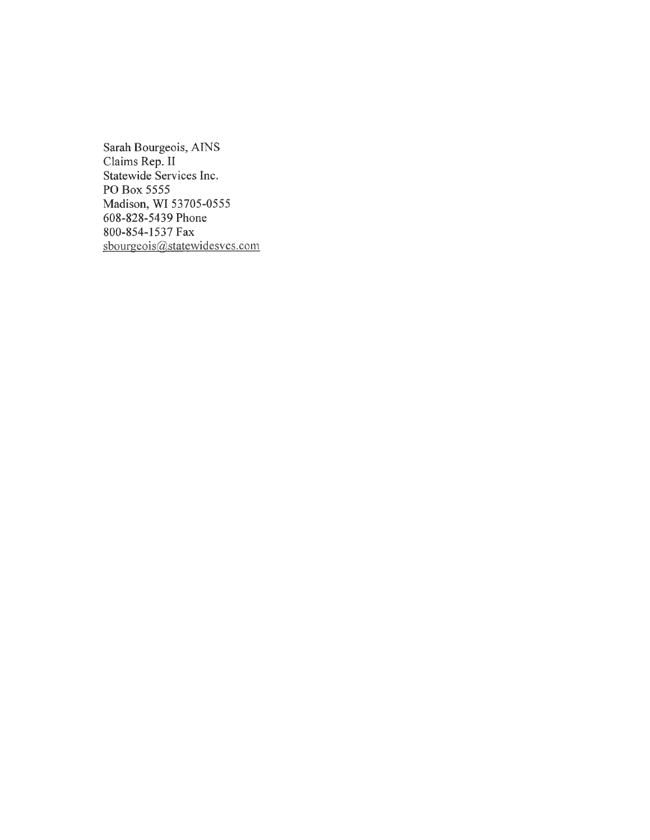Sarah Bourgeois, AINS Claims Rep. II Statewide Services Inc. PO Box 5555 Madison, WI 53705-0555 608-828-5439 Phone 800-854-1537 Fax sbourgeois@statewidesvcs.com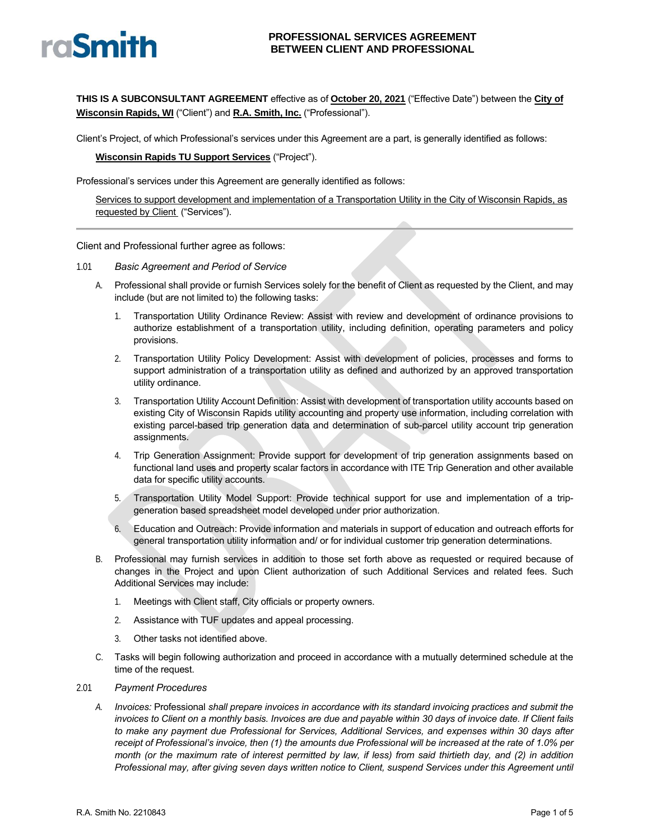# raSmith

#### **PROFESSIONAL SERVICES AGREEMENT BETWEEN CLIENT AND PROFESSIONAL**

**THIS IS A SUBCONSULTANT AGREEMENT** effective as of **October 20, 2021** ("Effective Date") between the **City of Wisconsin Rapids, WI** ("Client") and **R.A. Smith, Inc.** ("Professional").

Client's Project, of which Professional's services under this Agreement are a part, is generally identified as follows:

**Wisconsin Rapids TU Support Services** ("Project").

Professional's services under this Agreement are generally identified as follows:

Services to support development and implementation of a Transportation Utility in the City of Wisconsin Rapids, as requested by Client ("Services").

Client and Professional further agree as follows:

#### 1.01 *Basic Agreement and Period of Service*

- A. Professional shall provide or furnish Services solely for the benefit of Client as requested by the Client, and may include (but are not limited to) the following tasks:
	- 1. Transportation Utility Ordinance Review: Assist with review and development of ordinance provisions to authorize establishment of a transportation utility, including definition, operating parameters and policy provisions.
	- 2. Transportation Utility Policy Development: Assist with development of policies, processes and forms to support administration of a transportation utility as defined and authorized by an approved transportation utility ordinance.
	- 3. Transportation Utility Account Definition: Assist with development of transportation utility accounts based on existing City of Wisconsin Rapids utility accounting and property use information, including correlation with existing parcel-based trip generation data and determination of sub-parcel utility account trip generation assignments.
	- 4. Trip Generation Assignment: Provide support for development of trip generation assignments based on functional land uses and property scalar factors in accordance with ITE Trip Generation and other available data for specific utility accounts.
	- 5. Transportation Utility Model Support: Provide technical support for use and implementation of a tripgeneration based spreadsheet model developed under prior authorization.
	- 6. Education and Outreach: Provide information and materials in support of education and outreach efforts for general transportation utility information and/ or for individual customer trip generation determinations.
- B. Professional may furnish services in addition to those set forth above as requested or required because of changes in the Project and upon Client authorization of such Additional Services and related fees. Such Additional Services may include:
	- 1. Meetings with Client staff, City officials or property owners.
	- 2. Assistance with TUF updates and appeal processing.
	- 3. Other tasks not identified above.
- Tasks will begin following authorization and proceed in accordance with a mutually determined schedule at the time of the request.

#### 2.01 *Payment Procedures*

*A. Invoices:* Professional *shall prepare invoices in accordance with its standard invoicing practices and submit the invoices to Client on a monthly basis. Invoices are due and payable within 30 days of invoice date. If Client fails to make any payment due Professional for Services, Additional Services, and expenses within 30 days after receipt of Professional's invoice, then (1) the amounts due Professional will be increased at the rate of 1.0% per month (or the maximum rate of interest permitted by law, if less) from said thirtieth day, and (2) in addition Professional may, after giving seven days written notice to Client, suspend Services under this Agreement until*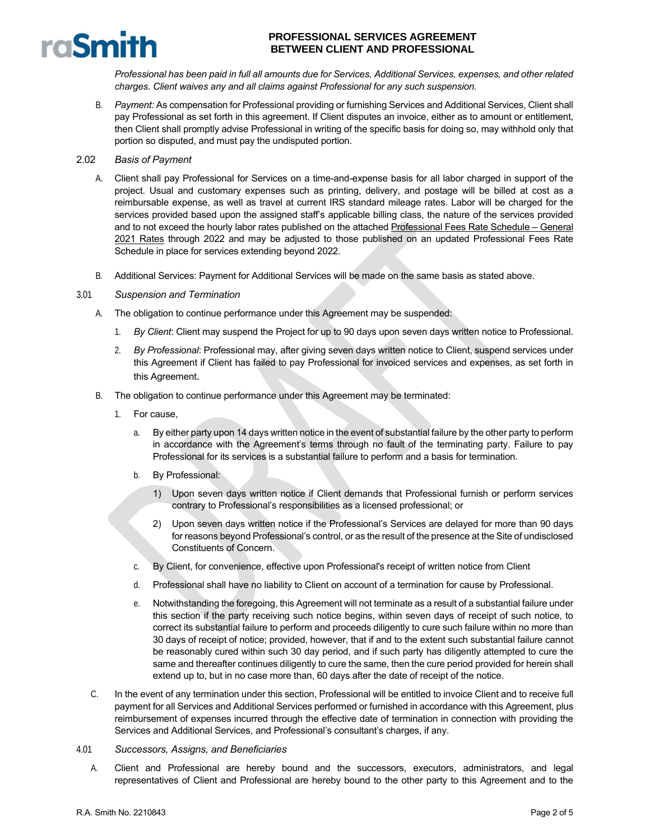

*Professional has been paid in full all amounts due for Services, Additional Services, expenses, and other related charges. Client waives any and all claims against Professional for any such suspension.*

B. *Payment:* As compensation for Professional providing or furnishing Services and Additional Services, Client shall pay Professional as set forth in this agreement. If Client disputes an invoice, either as to amount or entitlement, then Client shall promptly advise Professional in writing of the specific basis for doing so, may withhold only that portion so disputed, and must pay the undisputed portion.

#### 2.02 *Basis of Payment*

- A. Client shall pay Professional for Services on a time-and-expense basis for all labor charged in support of the project. Usual and customary expenses such as printing, delivery, and postage will be billed at cost as a reimbursable expense, as well as travel at current IRS standard mileage rates. Labor will be charged for the services provided based upon the assigned staff's applicable billing class, the nature of the services provided and to not exceed the hourly labor rates published on the attached Professional Fees Rate Schedule – General 2021 Rates through 2022 and may be adjusted to those published on an updated Professional Fees Rate Schedule in place for services extending beyond 2022.
- B. Additional Services: Payment for Additional Services will be made on the same basis as stated above.

#### 3.01 *Suspension and Termination*

- A. The obligation to continue performance under this Agreement may be suspended:
	- 1. *By Client*: Client may suspend the Project for up to 90 days upon seven days written notice to Professional.
	- 2. *By Professional*: Professional may, after giving seven days written notice to Client, suspend services under this Agreement if Client has failed to pay Professional for invoiced services and expenses, as set forth in this Agreement.
- B. The obligation to continue performance under this Agreement may be terminated:
	- 1. For cause,
		- a. By either party upon 14 days written notice in the event of substantial failure by the other party to perform in accordance with the Agreement's terms through no fault of the terminating party. Failure to pay Professional for its services is a substantial failure to perform and a basis for termination.
		- b. By Professional:
			- 1) Upon seven days written notice if Client demands that Professional furnish or perform services contrary to Professional's responsibilities as a licensed professional; or
			- 2) Upon seven days written notice if the Professional's Services are delayed for more than 90 days for reasons beyond Professional's control, or as the result of the presence at the Site of undisclosed Constituents of Concern.
		- c. By Client, for convenience, effective upon Professional's receipt of written notice from Client
		- d. Professional shall have no liability to Client on account of a termination for cause by Professional.
		- e. Notwithstanding the foregoing, this Agreement will not terminate as a result of a substantial failure under this section if the party receiving such notice begins, within seven days of receipt of such notice, to correct its substantial failure to perform and proceeds diligently to cure such failure within no more than 30 days of receipt of notice; provided, however, that if and to the extent such substantial failure cannot be reasonably cured within such 30 day period, and if such party has diligently attempted to cure the same and thereafter continues diligently to cure the same, then the cure period provided for herein shall extend up to, but in no case more than, 60 days after the date of receipt of the notice.
- C. In the event of any termination under this section, Professional will be entitled to invoice Client and to receive full payment for all Services and Additional Services performed or furnished in accordance with this Agreement, plus reimbursement of expenses incurred through the effective date of termination in connection with providing the Services and Additional Services, and Professional's consultant's charges, if any.
- 4.01 *Successors, Assigns, and Beneficiaries*
	- A. Client and Professional are hereby bound and the successors, executors, administrators, and legal representatives of Client and Professional are hereby bound to the other party to this Agreement and to the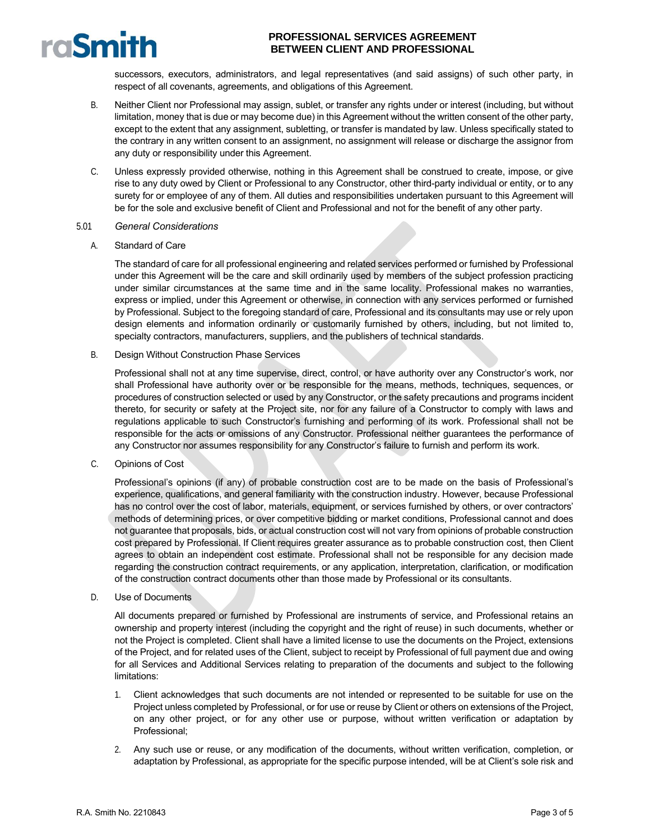successors, executors, administrators, and legal representatives (and said assigns) of such other party, in respect of all covenants, agreements, and obligations of this Agreement.

- B. Neither Client nor Professional may assign, sublet, or transfer any rights under or interest (including, but without limitation, money that is due or may become due) in this Agreement without the written consent of the other party, except to the extent that any assignment, subletting, or transfer is mandated by law. Unless specifically stated to the contrary in any written consent to an assignment, no assignment will release or discharge the assignor from any duty or responsibility under this Agreement.
- C. Unless expressly provided otherwise, nothing in this Agreement shall be construed to create, impose, or give rise to any duty owed by Client or Professional to any Constructor, other third-party individual or entity, or to any surety for or employee of any of them. All duties and responsibilities undertaken pursuant to this Agreement will be for the sole and exclusive benefit of Client and Professional and not for the benefit of any other party.

#### 5.01 *General Considerations*

A. Standard of Care

raSmith

The standard of care for all professional engineering and related services performed or furnished by Professional under this Agreement will be the care and skill ordinarily used by members of the subject profession practicing under similar circumstances at the same time and in the same locality. Professional makes no warranties, express or implied, under this Agreement or otherwise, in connection with any services performed or furnished by Professional. Subject to the foregoing standard of care, Professional and its consultants may use or rely upon design elements and information ordinarily or customarily furnished by others, including, but not limited to, specialty contractors, manufacturers, suppliers, and the publishers of technical standards.

B. Design Without Construction Phase Services

Professional shall not at any time supervise, direct, control, or have authority over any Constructor's work, nor shall Professional have authority over or be responsible for the means, methods, techniques, sequences, or procedures of construction selected or used by any Constructor, or the safety precautions and programs incident thereto, for security or safety at the Project site, nor for any failure of a Constructor to comply with laws and regulations applicable to such Constructor's furnishing and performing of its work. Professional shall not be responsible for the acts or omissions of any Constructor. Professional neither guarantees the performance of any Constructor nor assumes responsibility for any Constructor's failure to furnish and perform its work.

C. Opinions of Cost

Professional's opinions (if any) of probable construction cost are to be made on the basis of Professional's experience, qualifications, and general familiarity with the construction industry. However, because Professional has no control over the cost of labor, materials, equipment, or services furnished by others, or over contractors' methods of determining prices, or over competitive bidding or market conditions, Professional cannot and does not guarantee that proposals, bids, or actual construction cost will not vary from opinions of probable construction cost prepared by Professional. If Client requires greater assurance as to probable construction cost, then Client agrees to obtain an independent cost estimate. Professional shall not be responsible for any decision made regarding the construction contract requirements, or any application, interpretation, clarification, or modification of the construction contract documents other than those made by Professional or its consultants.

D. Use of Documents

All documents prepared or furnished by Professional are instruments of service, and Professional retains an ownership and property interest (including the copyright and the right of reuse) in such documents, whether or not the Project is completed. Client shall have a limited license to use the documents on the Project, extensions of the Project, and for related uses of the Client, subject to receipt by Professional of full payment due and owing for all Services and Additional Services relating to preparation of the documents and subject to the following limitations:

- 1. Client acknowledges that such documents are not intended or represented to be suitable for use on the Project unless completed by Professional, or for use or reuse by Client or others on extensions of the Project, on any other project, or for any other use or purpose, without written verification or adaptation by Professional;
- 2. Any such use or reuse, or any modification of the documents, without written verification, completion, or adaptation by Professional, as appropriate for the specific purpose intended, will be at Client's sole risk and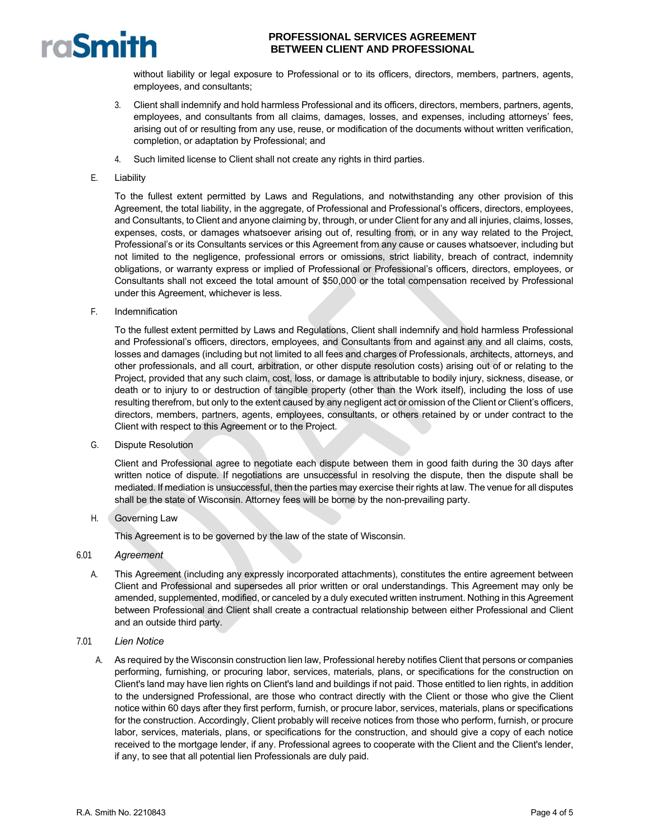

without liability or legal exposure to Professional or to its officers, directors, members, partners, agents, employees, and consultants;

- 3. Client shall indemnify and hold harmless Professional and its officers, directors, members, partners, agents, employees, and consultants from all claims, damages, losses, and expenses, including attorneys' fees, arising out of or resulting from any use, reuse, or modification of the documents without written verification, completion, or adaptation by Professional; and
- 4. Such limited license to Client shall not create any rights in third parties.
- E. Liability

To the fullest extent permitted by Laws and Regulations, and notwithstanding any other provision of this Agreement, the total liability, in the aggregate, of Professional and Professional's officers, directors, employees, and Consultants, to Client and anyone claiming by, through, or under Client for any and all injuries, claims, losses, expenses, costs, or damages whatsoever arising out of, resulting from, or in any way related to the Project, Professional's or its Consultants services or this Agreement from any cause or causes whatsoever, including but not limited to the negligence, professional errors or omissions, strict liability, breach of contract, indemnity obligations, or warranty express or implied of Professional or Professional's officers, directors, employees, or Consultants shall not exceed the total amount of \$50,000 or the total compensation received by Professional under this Agreement, whichever is less.

F. Indemnification

To the fullest extent permitted by Laws and Regulations, Client shall indemnify and hold harmless Professional and Professional's officers, directors, employees, and Consultants from and against any and all claims, costs, losses and damages (including but not limited to all fees and charges of Professionals, architects, attorneys, and other professionals, and all court, arbitration, or other dispute resolution costs) arising out of or relating to the Project, provided that any such claim, cost, loss, or damage is attributable to bodily injury, sickness, disease, or death or to injury to or destruction of tangible property (other than the Work itself), including the loss of use resulting therefrom, but only to the extent caused by any negligent act or omission of the Client or Client's officers, directors, members, partners, agents, employees, consultants, or others retained by or under contract to the Client with respect to this Agreement or to the Project.

G. Dispute Resolution

Client and Professional agree to negotiate each dispute between them in good faith during the 30 days after written notice of dispute. If negotiations are unsuccessful in resolving the dispute, then the dispute shall be mediated. If mediation is unsuccessful, then the parties may exercise their rights at law. The venue for all disputes shall be the state of Wisconsin. Attorney fees will be borne by the non-prevailing party.

H. Governing Law

This Agreement is to be governed by the law of the state of Wisconsin.

#### 6.01 *Agreement*

- A. This Agreement (including any expressly incorporated attachments), constitutes the entire agreement between Client and Professional and supersedes all prior written or oral understandings. This Agreement may only be amended, supplemented, modified, or canceled by a duly executed written instrument. Nothing in this Agreement between Professional and Client shall create a contractual relationship between either Professional and Client and an outside third party.
- 7.01 *Lien Notice*
	- A. As required by the Wisconsin construction lien law, Professional hereby notifies Client that persons or companies performing, furnishing, or procuring labor, services, materials, plans, or specifications for the construction on Client's land may have lien rights on Client's land and buildings if not paid. Those entitled to lien rights, in addition to the undersigned Professional, are those who contract directly with the Client or those who give the Client notice within 60 days after they first perform, furnish, or procure labor, services, materials, plans or specifications for the construction. Accordingly, Client probably will receive notices from those who perform, furnish, or procure labor, services, materials, plans, or specifications for the construction, and should give a copy of each notice received to the mortgage lender, if any. Professional agrees to cooperate with the Client and the Client's lender, if any, to see that all potential lien Professionals are duly paid.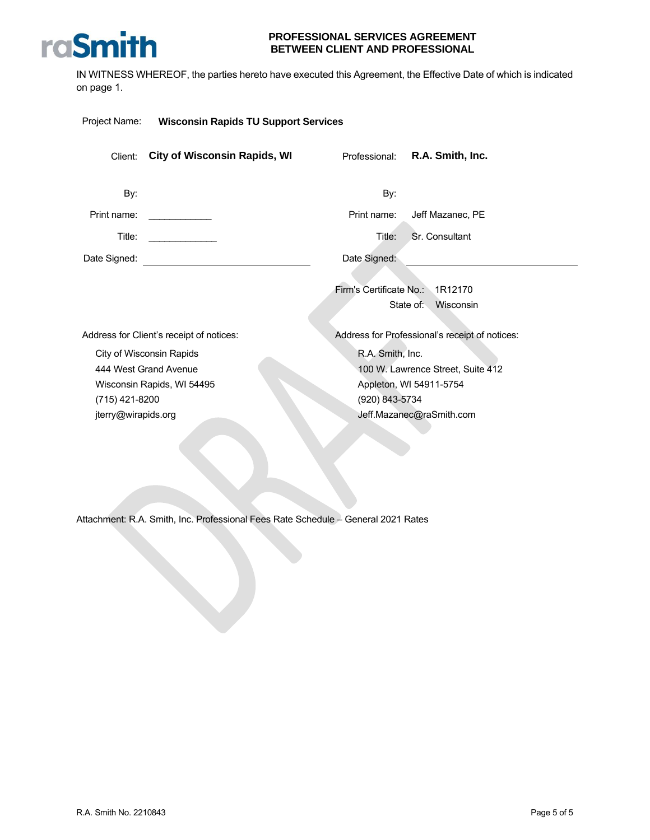

IN WITNESS WHEREOF, the parties hereto have executed this Agreement, the Effective Date of which is indicated on page 1.

| Project Name:                         | <b>Wisconsin Rapids TU Support Services</b>                                     |                                    |                                                                                          |
|---------------------------------------|---------------------------------------------------------------------------------|------------------------------------|------------------------------------------------------------------------------------------|
| Client:                               | <b>City of Wisconsin Rapids, WI</b>                                             | Professional:                      | R.A. Smith, Inc.                                                                         |
| By:                                   |                                                                                 | By:                                |                                                                                          |
| Print name:                           |                                                                                 | Print name:                        | Jeff Mazanec, PE                                                                         |
| Title:                                | <u> 1990 - Johann Barnett, f</u>                                                | Title:                             | Sr. Consultant                                                                           |
| Date Signed:                          |                                                                                 | Date Signed:                       |                                                                                          |
|                                       |                                                                                 | Firm's Certificate No.: 1R12170    | State of:<br>Wisconsin                                                                   |
|                                       | Address for Client's receipt of notices:                                        |                                    | Address for Professional's receipt of notices:                                           |
| (715) 421-8200<br>jterry@wirapids.org | City of Wisconsin Rapids<br>444 West Grand Avenue<br>Wisconsin Rapids, WI 54495 | R.A. Smith, Inc.<br>(920) 843-5734 | 100 W. Lawrence Street, Suite 412<br>Appleton, WI 54911-5754<br>Jeff.Mazanec@raSmith.com |

Attachment: R.A. Smith, Inc. Professional Fees Rate Schedule – General 2021 Rates